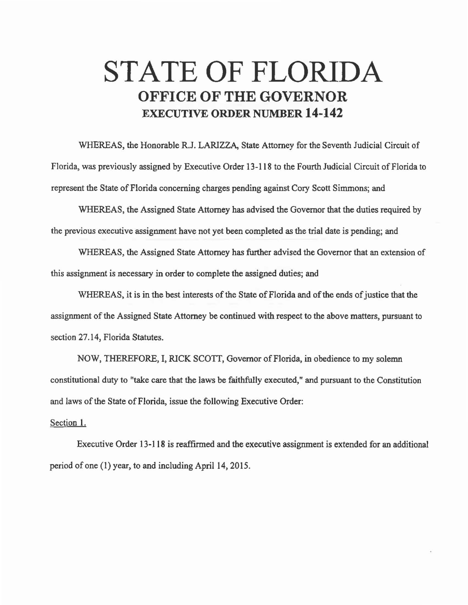## STATE OF FLORIDA OFFICE OF THE GOVERNOR EXECUTIVE ORDER NUMBER 14-142

WHEREAS, the Honorable R.J. LARIZZA, State Attorney for the Seventh Judicial Circuit of Florida, was previously assigned by Executive Order 13-118 to the Fourth Judicial Circuit of Florida to represent the State of Florida concerning charges pending against Cory Scott Simmons; and

WHEREAS, the Assigned State Attorney has advised the Governor that the duties required by the previous executive assignment have not yet been completed as the trial date is pending; and

WHEREAS, the Assigned State Attorney has further advised the Governor that an extension of this assignment is necessary in order to complete the assigned duties; and

WHEREAS, it is in the best interests of the State of Florida and of the ends of justice that the assignment of the Assigned State Attorney be continued with respect to the above matters, pursuant to section 27.14, Florida Statutes.

NOW, THEREFORE, I, RICK SCOTI, Governor of Florida, in obedience to my solemn constitutional duty to "take care that the laws be faithfully executed," and pursuant to the Constitution and laws of the State of Florida, issue the following Executive Order:

## Section 1.

Executive Order 13-118 is reaffirmed and the executive assignment is extended for an additional period of one (1) year, to and including April 14, 2015.